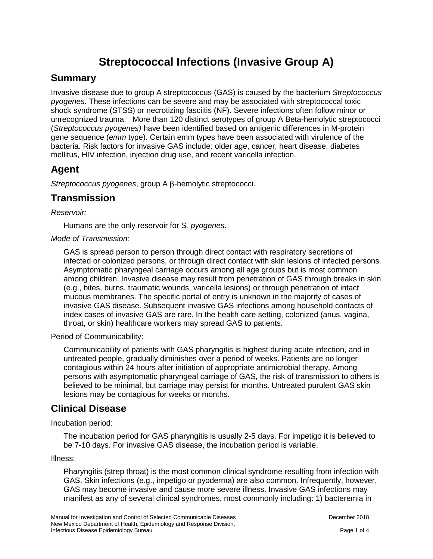# **Streptococcal Infections (Invasive Group A)**

#### **Summary**

Invasive disease due to group A streptococcus (GAS) is caused by the bacterium *Streptococcus pyogenes.* These infections can be severe and may be associated with streptococcal toxic shock syndrome (STSS) or necrotizing fasciitis (NF). Severe infections often follow minor or unrecognized trauma. More than 120 distinct serotypes of group A Beta-hemolytic streptococci (*Streptococcus pyogenes)* have been identified based on antigenic differences in M-protein gene sequence (*emm* type). Certain emm types have been associated with virulence of the bacteria. Risk factors for invasive GAS include: older age, cancer, heart disease, diabetes mellitus, HIV infection, injection drug use, and recent varicella infection.

### **Agent**

*Streptococcus pyogenes*, group A β-hemolytic streptococci.

#### **Transmission**

*Reservoir:* 

Humans are the only reservoir for *S. pyogenes*.

#### *Mode of Transmission:*

GAS is spread person to person through direct contact with respiratory secretions of infected or colonized persons, or through direct contact with skin lesions of infected persons. Asymptomatic pharyngeal carriage occurs among all age groups but is most common among children. Invasive disease may result from penetration of GAS through breaks in skin (e.g., bites, burns, traumatic wounds, varicella lesions) or through penetration of intact mucous membranes. The specific portal of entry is unknown in the majority of cases of invasive GAS disease. Subsequent invasive GAS infections among household contacts of index cases of invasive GAS are rare. In the health care setting, colonized (anus, vagina, throat, or skin) healthcare workers may spread GAS to patients.

Period of Communicability:

Communicability of patients with GAS pharyngitis is highest during acute infection, and in untreated people, gradually diminishes over a period of weeks. Patients are no longer contagious within 24 hours after initiation of appropriate antimicrobial therapy. Among persons with asymptomatic pharyngeal carriage of GAS, the risk of transmission to others is believed to be minimal, but carriage may persist for months. Untreated purulent GAS skin lesions may be contagious for weeks or months.

### **Clinical Disease**

Incubation period:

The incubation period for GAS pharyngitis is usually 2-5 days. For impetigo it is believed to be 7-10 days. For invasive GAS disease, the incubation period is variable.

Illness:

Pharyngitis (strep throat) is the most common clinical syndrome resulting from infection with GAS. Skin infections (e.g., impetigo or pyoderma) are also common. Infrequently, however, GAS may become invasive and cause more severe illness. Invasive GAS infections may manifest as any of several clinical syndromes, most commonly including: 1) bacteremia in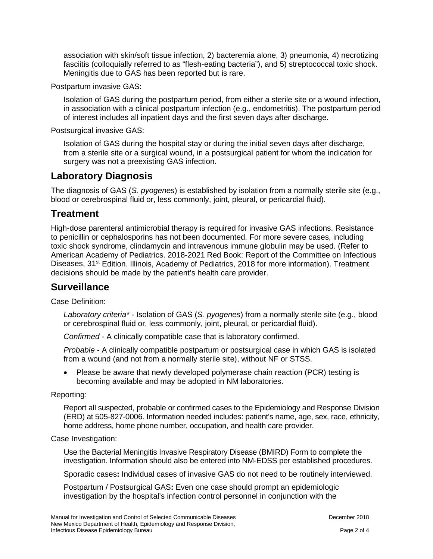association with skin/soft tissue infection, 2) bacteremia alone, 3) pneumonia, 4) necrotizing fasciitis (colloquially referred to as "flesh-eating bacteria"), and 5) streptococcal toxic shock. Meningitis due to GAS has been reported but is rare.

Postpartum invasive GAS:

Isolation of GAS during the postpartum period, from either a sterile site or a wound infection, in association with a clinical postpartum infection (e.g., endometritis). The postpartum period of interest includes all inpatient days and the first seven days after discharge.

Postsurgical invasive GAS:

Isolation of GAS during the hospital stay or during the initial seven days after discharge, from a sterile site or a surgical wound, in a postsurgical patient for whom the indication for surgery was not a preexisting GAS infection.

#### **Laboratory Diagnosis**

The diagnosis of GAS (*S. pyogenes*) is established by isolation from a normally sterile site (e.g., blood or cerebrospinal fluid or, less commonly, joint, pleural, or pericardial fluid).

#### **Treatment**

High-dose parenteral antimicrobial therapy is required for invasive GAS infections. Resistance to penicillin or cephalosporins has not been documented. For more severe cases, including toxic shock syndrome, clindamycin and intravenous immune globulin may be used. (Refer to American Academy of Pediatrics. 2018-2021 Red Book: Report of the Committee on Infectious Diseases, 31<sup>st</sup> Edition. Illinois, Academy of Pediatrics, 2018 for more information). Treatment decisions should be made by the patient's health care provider.

#### **Surveillance**

Case Definition:

*Laboratory criteria\** - Isolation of GAS (*S. pyogenes*) from a normally sterile site (e.g., blood or cerebrospinal fluid or, less commonly, joint, pleural, or pericardial fluid).

*Confirmed* - A clinically compatible case that is laboratory confirmed.

*Probable* - A clinically compatible postpartum or postsurgical case in which GAS is isolated from a wound (and not from a normally sterile site), without NF or STSS.

• Please be aware that newly developed polymerase chain reaction (PCR) testing is becoming available and may be adopted in NM laboratories.

Reporting:

Report all suspected, probable or confirmed cases to the Epidemiology and Response Division (ERD) at 505-827-0006. Information needed includes: patient's name, age, sex, race, ethnicity, home address, home phone number, occupation, and health care provider.

Case Investigation:

Use the Bacterial Meningitis Invasive Respiratory Disease (BMIRD) Form to complete the investigation. Information should also be entered into NM-EDSS per established procedures.

Sporadic cases**:** Individual cases of invasive GAS do not need to be routinely interviewed.

Postpartum / Postsurgical GAS**:** Even one case should prompt an epidemiologic investigation by the hospital's infection control personnel in conjunction with the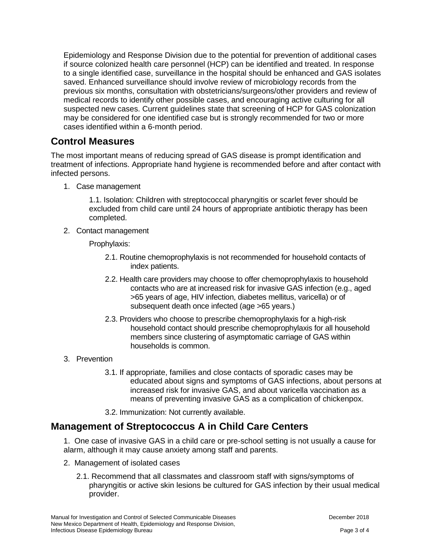Epidemiology and Response Division due to the potential for prevention of additional cases if source colonized health care personnel (HCP) can be identified and treated. In response to a single identified case, surveillance in the hospital should be enhanced and GAS isolates saved. Enhanced surveillance should involve review of microbiology records from the previous six months, consultation with obstetricians/surgeons/other providers and review of medical records to identify other possible cases, and encouraging active culturing for all suspected new cases. Current guidelines state that screening of HCP for GAS colonization may be considered for one identified case but is strongly recommended for two or more cases identified within a 6-month period.

#### **Control Measures**

The most important means of reducing spread of GAS disease is prompt identification and treatment of infections. Appropriate hand hygiene is recommended before and after contact with infected persons.

1. Case management

1.1. Isolation: Children with streptococcal pharyngitis or scarlet fever should be excluded from child care until 24 hours of appropriate antibiotic therapy has been completed.

2. Contact management

Prophylaxis:

- 2.1. Routine chemoprophylaxis is not recommended for household contacts of index patients.
- 2.2. Health care providers may choose to offer chemoprophylaxis to household contacts who are at increased risk for invasive GAS infection (e.g., aged >65 years of age, HIV infection, diabetes mellitus, varicella) or of subsequent death once infected (age >65 years.)
- 2.3. Providers who choose to prescribe chemoprophylaxis for a high-risk household contact should prescribe chemoprophylaxis for all household members since clustering of asymptomatic carriage of GAS within households is common.
- 3. Prevention
	- 3.1. If appropriate, families and close contacts of sporadic cases may be educated about signs and symptoms of GAS infections, about persons at increased risk for invasive GAS, and about varicella vaccination as a means of preventing invasive GAS as a complication of chickenpox.
	- 3.2. Immunization: Not currently available.

## **Management of Streptococcus A in Child Care Centers**

1. One case of invasive GAS in a child care or pre-school setting is not usually a cause for alarm, although it may cause anxiety among staff and parents.

- 2. Management of isolated cases
	- 2.1. Recommend that all classmates and classroom staff with signs/symptoms of pharyngitis or active skin lesions be cultured for GAS infection by their usual medical provider.